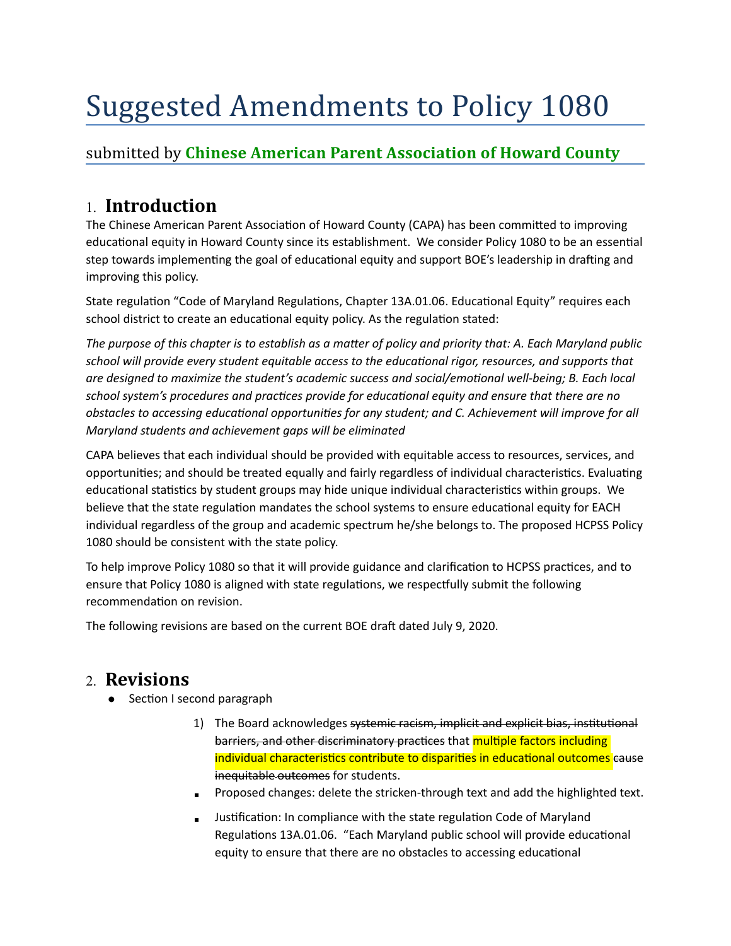# Suggested Amendments to Policy 1080

### submitted by **Chinese American Parent Association of Howard County**

# 1. **Introduction**

The Chinese American Parent Association of Howard County (CAPA) has been committed to improving educational equity in Howard County since its establishment. We consider Policy 1080 to be an essential step towards implementing the goal of educational equity and support BOE's leadership in drafting and improving this policy.

State regulation "Code of Maryland Regulations, Chapter 13A.01.06. Educational Equity" requires each school district to create an educational equity policy. As the regulation stated:

The purpose of this chapter is to establish as a matter of policy and priority that: A. Each Maryland public school will provide every student equitable access to the educational rigor, resources, and supports that *are designed to maximize the student's academic success and social/emotional well-being; B. Each local* school system's procedures and practices provide for educational equity and ensure that there are no *obstacles to accessing educational opportunities for any student; and C. Achievement will improve for all Maryland students and achievement gaps will be eliminated* 

CAPA believes that each individual should be provided with equitable access to resources, services, and opportunities; and should be treated equally and fairly regardless of individual characteristics. Evaluating educational statistics by student groups may hide unique individual characteristics within groups. We believe that the state regulation mandates the school systems to ensure educational equity for EACH individual regardless of the group and academic spectrum he/she belongs to. The proposed HCPSS Policy 1080 should be consistent with the state policy.

To help improve Policy 1080 so that it will provide guidance and clarification to HCPSS practices, and to ensure that Policy 1080 is aligned with state regulations, we respectfully submit the following recommendation on revision.

The following revisions are based on the current BOE draft dated July 9, 2020.

## 2. **Revisions**

- Section I second paragraph
	- 1) The Board acknowledges systemic racism, implicit and explicit bias, institutional barriers, and other discriminatory practices that multiple factors including individual characteristics contribute to disparities in educational outcomes cause inequitable outcomes for students.
	- Proposed changes: delete the stricken-through text and add the highlighted text.
	- Justification: In compliance with the state regulation Code of Maryland Regulations 13A.01.06. "Each Maryland public school will provide educational equity to ensure that there are no obstacles to accessing educational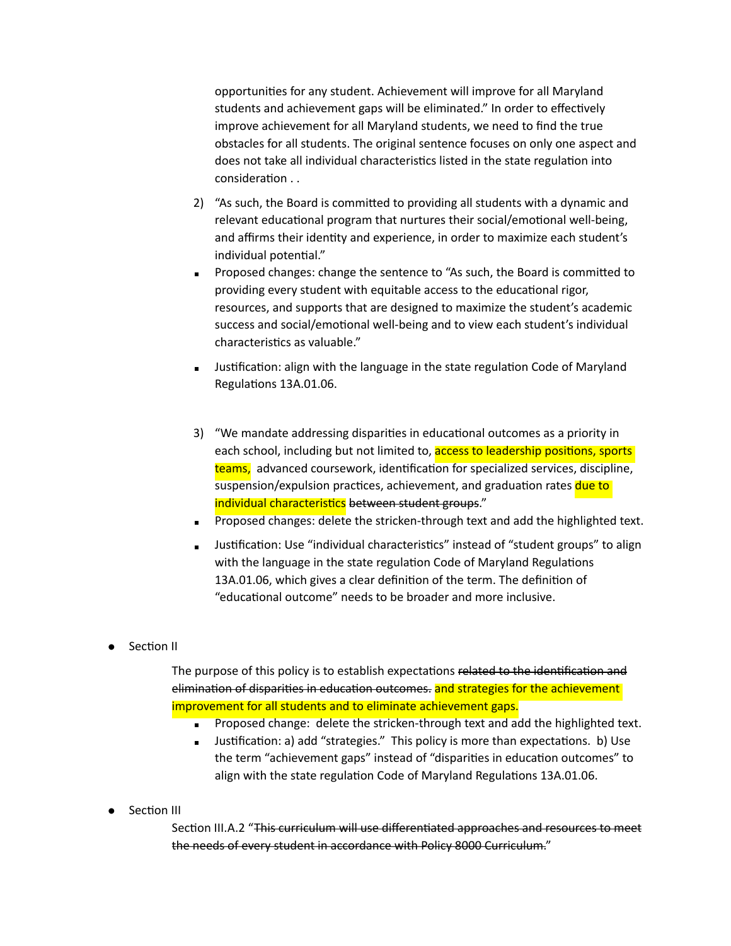opportunities for any student. Achievement will improve for all Maryland students and achievement gaps will be eliminated." In order to effectively improve achievement for all Maryland students, we need to find the true obstacles for all students. The original sentence focuses on only one aspect and does not take all individual characteristics listed in the state regulation into consideration . .

- 2) "As such, the Board is committed to providing all students with a dynamic and relevant educational program that nurtures their social/emotional well-being, and affirms their identity and experience, in order to maximize each student's individual potential."
- Proposed changes: change the sentence to "As such, the Board is committed to providing every student with equitable access to the educational rigor, resources, and supports that are designed to maximize the student's academic success and social/emotional well-being and to view each student's individual characteristics as valuable."
- Justification: align with the language in the state regulation Code of Maryland Regulations 13A.01.06.
- 3) "We mandate addressing disparities in educational outcomes as a priority in each school, including but not limited to, access to leadership positions, sports teams, advanced coursework, identification for specialized services, discipline, suspension/expulsion practices, achievement, and graduation rates due to individual characteristics between student groups."
- Proposed changes: delete the stricken-through text and add the highlighted text.
- Justification: Use "individual characteristics" instead of "student groups" to align with the language in the state regulation Code of Maryland Regulations 13A.01.06, which gives a clear definition of the term. The definition of "educational outcome" needs to be broader and more inclusive.
- Section II

The purpose of this policy is to establish expectations related to the identification and elimination of disparities in education outcomes. and strategies for the achievement improvement for all students and to eliminate achievement gaps.

- Proposed change: delete the stricken-through text and add the highlighted text.
- Justification: a) add "strategies." This policy is more than expectations. b) Use the term "achievement gaps" instead of "disparities in education outcomes" to align with the state regulation Code of Maryland Regulations 13A.01.06.
- Section III

Section III.A.2 "This curriculum will use differentiated approaches and resources to meet the needs of every student in accordance with Policy 8000 Curriculum."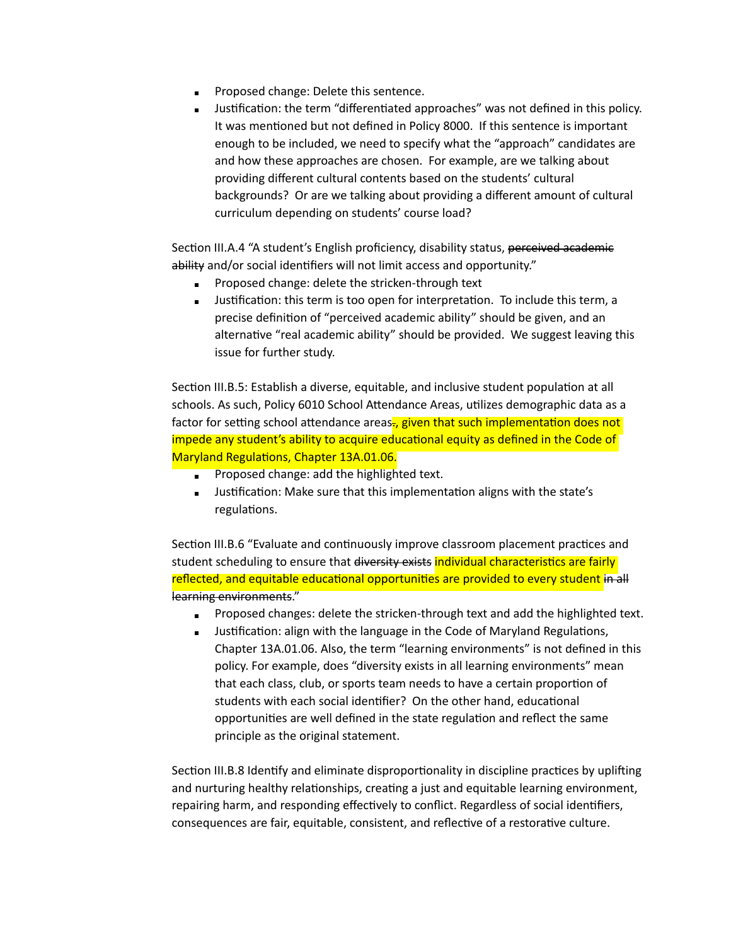- **Proposed change: Delete this sentence.**
- Justification: the term "differentiated approaches" was not defined in this policy. It was mentioned but not defined in Policy 8000. If this sentence is important enough to be included, we need to specify what the "approach" candidates are and how these approaches are chosen. For example, are we talking about providing different cultural contents based on the students' cultural backgrounds? Or are we talking about providing a different amount of cultural curriculum depending on students' course load?

Section III.A.4 "A student's English proficiency, disability status, perceived academic ability and/or social identifiers will not limit access and opportunity."

- Proposed change: delete the stricken-through text
- Justification: this term is too open for interpretation. To include this term, a precise definition of "perceived academic ability" should be given, and an alternative "real academic ability" should be provided. We suggest leaving this issue for further study.

Section III.B.5: Establish a diverse, equitable, and inclusive student population at all schools. As such, Policy 6010 School Attendance Areas, utilizes demographic data as a factor for setting school attendance areas., given that such implementation does not impede any student's ability to acquire educational equity as defined in the Code of Maryland Regulations, Chapter 13A.01.06.

- $\blacksquare$  Proposed change: add the highlighted text.
- **■** Justification: Make sure that this implementation aligns with the state's regulations.

Section III.B.6 "Evaluate and continuously improve classroom placement practices and student scheduling to ensure that diversity exists individual characteristics are fairly reflected, and equitable educational opportunities are provided to every student in all learning environments."

- Proposed changes: delete the stricken-through text and add the highlighted text.
- **■** Justification: align with the language in the Code of Maryland Regulations, Chapter 13A.01.06. Also, the term "learning environments" is not defined in this policy. For example, does "diversity exists in all learning environments" mean that each class, club, or sports team needs to have a certain proportion of students with each social identifier? On the other hand, educational opportunities are well defined in the state regulation and reflect the same principle as the original statement.

Section III.B.8 Identify and eliminate disproportionality in discipline practices by uplifting and nurturing healthy relationships, creating a just and equitable learning environment, repairing harm, and responding effectively to conflict. Regardless of social identifiers, consequences are fair, equitable, consistent, and reflective of a restorative culture.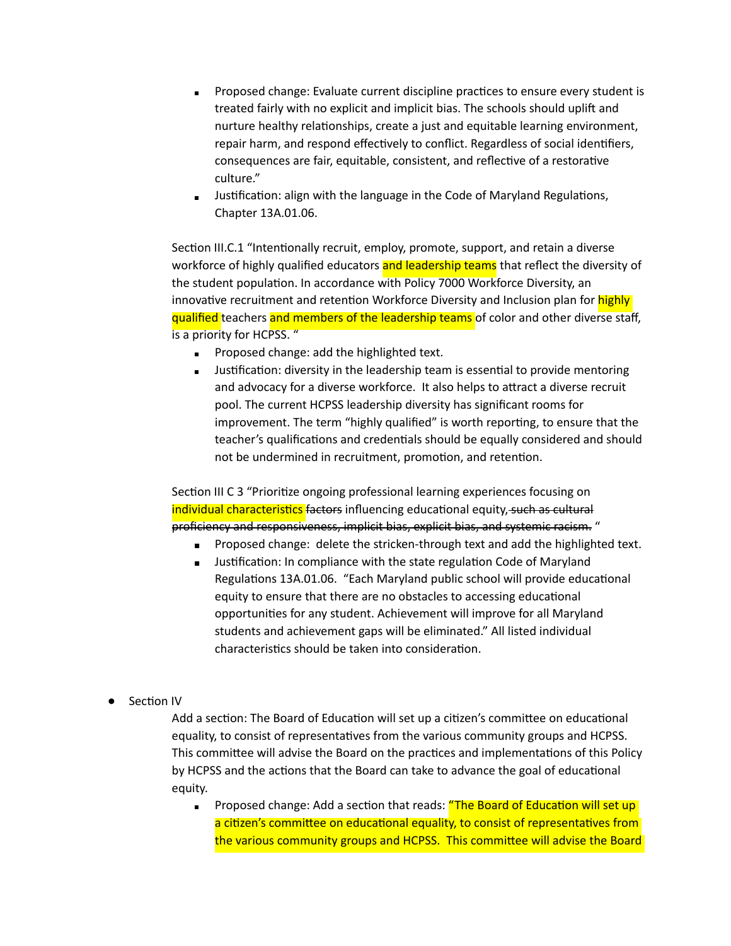- Proposed change: Evaluate current discipline practices to ensure every student is treated fairly with no explicit and implicit bias. The schools should uplift and nurture healthy relationships, create a just and equitable learning environment, repair harm, and respond effectively to conflict. Regardless of social identifiers, consequences are fair, equitable, consistent, and reflective of a restorative culture."
- **EXEDENT III STARK ISSON THE VISHTED IS A SET I** Justifications, Inc. It also alter languations, Chapter 13A.01.06.

Section III.C.1 "Intentionally recruit, employ, promote, support, and retain a diverse workforce of highly qualified educators and leadership teams that reflect the diversity of the student population. In accordance with Policy 7000 Workforce Diversity, an innovative recruitment and retention Workforce Diversity and Inclusion plan for highly qualified teachers and members of the leadership teams of color and other diverse staff, is a priority for HCPSS. "

- **Proposed change: add the highlighted text.**
- **■** Justification: diversity in the leadership team is essential to provide mentoring and advocacy for a diverse workforce. It also helps to attract a diverse recruit pool. The current HCPSS leadership diversity has significant rooms for improvement. The term "highly qualified" is worth reporting, to ensure that the teacher's qualifications and credentials should be equally considered and should not be undermined in recruitment, promotion, and retention.

Section III C 3 "Prioritize ongoing professional learning experiences focusing on individual characteristics factors influencing educational equity, such as cultural proficiency and responsiveness, implicit bias, explicit bias, and systemic racism. "

- Proposed change: delete the stricken-through text and add the highlighted text.
- Justification: In compliance with the state regulation Code of Maryland Regulations 13A.01.06. "Each Maryland public school will provide educational equity to ensure that there are no obstacles to accessing educational opportunities for any student. Achievement will improve for all Maryland students and achievement gaps will be eliminated." All listed individual characteristics should be taken into consideration.
- Section IV

Add a section: The Board of Education will set up a citizen's committee on educational equality, to consist of representatives from the various community groups and HCPSS. This committee will advise the Board on the practices and implementations of this Policy by HCPSS and the actions that the Board can take to advance the goal of educational equity.

Proposed change: Add a section that reads: "The Board of Education will set up a citizen's committee on educational equality, to consist of representatives from the various community groups and HCPSS. This committee will advise the Board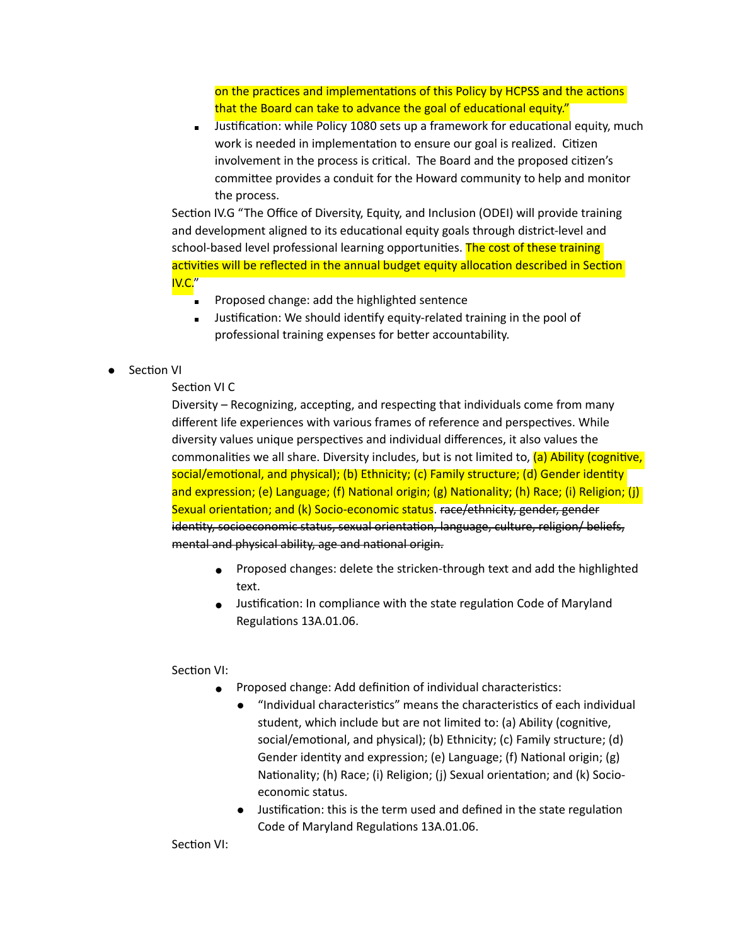on the practices and implementations of this Policy by HCPSS and the actions that the Board can take to advance the goal of educational equity."

Justification: while Policy 1080 sets up a framework for educational equity, much work is needed in implementation to ensure our goal is realized. Citizen involvement in the process is critical. The Board and the proposed citizen's committee provides a conduit for the Howard community to help and monitor the process.

Section IV.G "The Office of Diversity, Equity, and Inclusion (ODEI) will provide training and development aligned to its educational equity goals through district-level and school-based level professional learning opportunities. The cost of these training activities will be reflected in the annual budget equity allocation described in Section IV.C."

- Proposed change: add the highlighted sentence
- Justification: We should identify equity-related training in the pool of professional training expenses for better accountability.
- Section VI

#### Section VI C

Diversity  $-$  Recognizing, accepting, and respecting that individuals come from many different life experiences with various frames of reference and perspectives. While diversity values unique perspectives and individual differences, it also values the commonalities we all share. Diversity includes, but is not limited to,  $(a)$  Ability (cognitive, social/emotional, and physical); (b) Ethnicity; (c) Family structure; (d) Gender identity and expression; (e) Language; (f) National origin; (g) Nationality; (h) Race; (i) Religion; (j) Sexual orientation; and (k) Socio-economic status. race/ethnicity, gender, gender identity, socioeconomic status, sexual orientation, language, culture, religion/ beliefs, mental and physical ability, age and national origin.

- Proposed changes: delete the stricken-through text and add the highlighted text.
- Justification: In compliance with the state regulation Code of Maryland Regulations 13A.01.06.

Section VI:

- Proposed change: Add definition of individual characteristics:
	- "Individual characteristics" means the characteristics of each individual student, which include but are not limited to: (a) Ability (cognitive, social/emotional, and physical); (b) Ethnicity; (c) Family structure; (d) Gender identity and expression; (e) Language; (f) National origin; (g) Nationality; (h) Race; (i) Religion; (j) Sexual orientation; and (k) Socioeconomic status.
	- Justification: this is the term used and defined in the state regulation Code of Maryland Regulations 13A.01.06.

Section VI: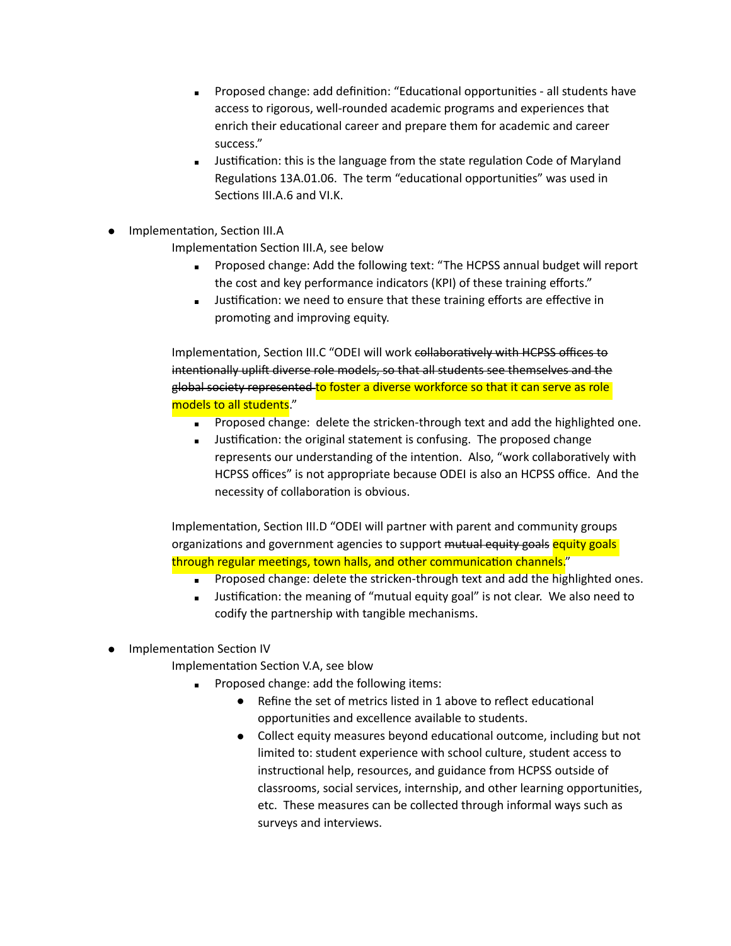- **Proposed change: add definition: "Educational opportunities all students have** access to rigorous, well-rounded academic programs and experiences that enrich their educational career and prepare them for academic and career success."
- **■** Justification: this is the language from the state regulation Code of Maryland Regulations 13A.01.06. The term "educational opportunities" was used in Sections III.A.6 and VI.K.
- Implementation, Section III.A

Implementation Section III.A, see below

- **EXEDENT Proposed change: Add the following text: "The HCPSS annual budget will report** the cost and key performance indicators (KPI) of these training efforts."
- **■** Justification: we need to ensure that these training efforts are effective in promoting and improving equity.

Implementation, Section III.C "ODEI will work collaboratively with HCPSS offices to intentionally uplift diverse role models, so that all students see themselves and the global society represented to foster a diverse workforce so that it can serve as role models to all students."

- **Proposed change: delete the stricken-through text and add the highlighted one.**
- Justification: the original statement is confusing. The proposed change represents our understanding of the intention. Also, "work collaboratively with HCPSS offices" is not appropriate because ODEI is also an HCPSS office. And the necessity of collaboration is obvious.

Implementation, Section III.D "ODEI will partner with parent and community groups organizations and government agencies to support mutual equity goals equity goals through regular meetings, town halls, and other communication channels."

- **•** Proposed change: delete the stricken-through text and add the highlighted ones.
- **■** Justification: the meaning of "mutual equity goal" is not clear. We also need to codify the partnership with tangible mechanisms.
- Implementation Section IV

Implementation Section V.A, see blow

- Proposed change: add the following items:
	- $\bullet$  Refine the set of metrics listed in 1 above to reflect educational opportunities and excellence available to students.
	- Collect equity measures beyond educational outcome, including but not limited to: student experience with school culture, student access to instructional help, resources, and guidance from HCPSS outside of classrooms, social services, internship, and other learning opportunities, etc. These measures can be collected through informal ways such as surveys and interviews.